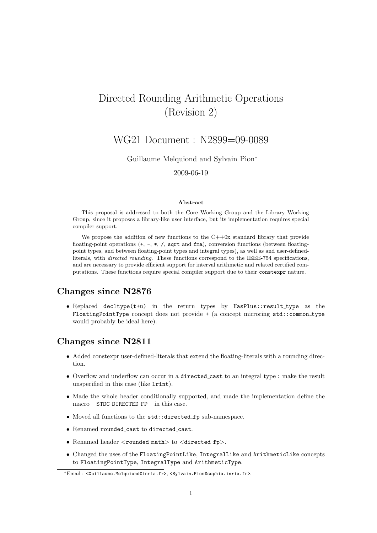# Directed Rounding Arithmetic Operations (Revision 2)

# WG21 Document : N2899=09-0089

Guillaume Melquiond and Sylvain Pion<sup>∗</sup>

2009-06-19

#### Abstract

This proposal is addressed to both the Core Working Group and the Library Working Group, since it proposes a library-like user interface, but its implementation requires special compiler support.

We propose the addition of new functions to the  $C++0x$  standard library that provide floating-point operations (+, -, \*, /, sqrt and fma), conversion functions (between floatingpoint types, and between floating-point types and integral types), as well as and user-definedliterals, with *directed rounding*. These functions correspond to the IEEE-754 specifications, and are necessary to provide efficient support for interval arithmetic and related certified computations. These functions require special compiler support due to their constexpr nature.

### Changes since N2876

• Replaced decltype(t+u) in the return types by HasPlus::result\_type as the FloatingPointType concept does not provide + (a concept mirroring std::common type would probably be ideal here).

# Changes since N2811

- Added constexpr user-defined-literals that extend the floating-literals with a rounding direction.
- Overflow and underflow can occur in a directed cast to an integral type : make the result unspecified in this case (like lrint).
- Made the whole header conditionally supported, and made the implementation define the macro \_\_STDC\_DIRECTED\_FP\_\_ in this case.
- Moved all functions to the std::directed fp sub-namespace.
- Renamed rounded cast to directed cast.
- Renamed header  $\langle$ rounded\_math $>$  to  $\langle$ directed\_fp $>$ .
- Changed the uses of the FloatingPointLike, IntegralLike and ArithmeticLike concepts to FloatingPointType, IntegralType and ArithmeticType.

<sup>∗</sup>Email : <Guillaume.Melquiond@inria.fr>, <Sylvain.Pion@sophia.inria.fr>.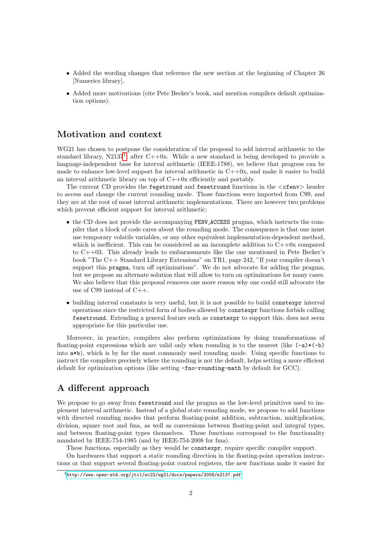- Added the wording changes that reference the new section at the beginning of Chapter 26 [Numerics library].
- Added more motivations (cite Pete Becker's book, and mention compilers default optimization options).

## Motivation and context

WG21 has chosen to postpone the consideration of the proposal to add interval arithmetic to the standard library,  $N2137<sup>1</sup>$  $N2137<sup>1</sup>$  $N2137<sup>1</sup>$ , after  $C++0x$ . While a new standard is being developed to provide a language-independent base for interval arithmetic (IEEE-1788), we believe that progress can be made to enhance low-level support for interval arithmetic in  $C++0x$ , and make it easier to build an interval arithmetic library on top of  $C+0x$  efficiently and portably.

The current CD provides the fegetround and fesetround functions in the <cfenv> header to access and change the current rounding mode. Those functions were imported from C99, and they are at the root of most interval arithmetic implementations. There are however two problems which prevent efficient support for interval arithmetic:

- the CD does not provide the accompanying FENV ACCESS pragma, which instructs the compiler that a block of code cares about the rounding mode. The consequence is that one must use temporary volatile variables, or any other equivalent implementation-dependent method, which is inefficient. This can be considered as an incomplete addition to  $C++0x$  compared to C++03. This already leads to embarassments like the one mentioned in Pete Becker's book "The C++ Standard Library Extensions" on TR1, page 242, "If your compiler doesn't support this pragma, turn off optimizations". We do not advocate for adding the pragma, but we propose an alternate solution that will allow to turn on optimizations for many cases. We also believe that this proposal removes one more reason why one could still advocate the use of C99 instead of C++.
- building interval constants is very useful, but it is not possible to build constexpr interval operations since the restricted form of bodies allowed by constexpr functions forbids calling fesetround. Extending a general feature such as constexpr to support this, does not seem appropriate for this particular use.

Moreover, in practice, compilers also perform optimizations by doing transformations of floating-point expressions which are valid only when rounding is to the nearest (like  $(-a)*(-b)$ ) into a\*b), which is by far the most commonly used rounding mode. Using specific functions to instruct the compilers precisely where the rounding is not the default, helps setting a more efficient default for optimization options (like setting -fno-rounding-math by default for GCC).

# A different approach

We propose to go away from fesetround and the pragma as the low-level primitives used to implement interval arithmetic. Instead of a global state rounding mode, we propose to add functions with directed rounding modes that perform floating-point addition, subtraction, multiplication, division, square root and fma, as well as conversions between floating-point and integral types, and between floating-point types themselves. These functions correspond to the functionality mandated by IEEE-754-1985 (and by IEEE-754-2008 for fma).

These functions, especially as they would be constexpr, require specific compiler support.

On hardwares that support a static rounding direction in the floating-point operation instructions or that support several floating-point control registers, the new functions make it easier for

<span id="page-1-0"></span><sup>1</sup><http://www.open-std.org/jtc1/sc22/wg21/docs/papers/2006/n2137.pdf>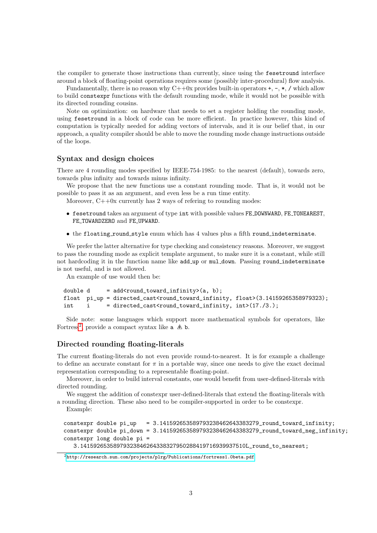the compiler to generate those instructions than currently, since using the fesetround interface around a block of floating-point operations requires some (possibly inter-procedural) flow analysis.

Fundamentally, there is no reason why  $C++0x$  provides built-in operators  $+, -, *, /$  which allow to build constexpr functions with the default rounding mode, while it would not be possible with its directed rounding cousins.

Note on optimization: on hardware that needs to set a register holding the rounding mode, using fesetround in a block of code can be more efficient. In practice however, this kind of computation is typically needed for adding vectors of intervals, and it is our belief that, in our approach, a quality compiler should be able to move the rounding mode change instructions outside of the loops.

#### Syntax and design choices

There are 4 rounding modes specified by IEEE-754-1985: to the nearest (default), towards zero, towards plus infinity and towards minus infinity.

We propose that the new functions use a constant rounding mode. That is, it would not be possible to pass it as an argument, and even less be a run time entity.

Moreover,  $C++0x$  currently has 2 ways of refering to rounding modes:

- fesetround takes an argument of type int with possible values FE DOWNWARD, FE TONEAREST, FE TOWARDZERO and FE UPWARD.
- the floating round style enum which has 4 values plus a fifth round indeterminate.

We prefer the latter alternative for type checking and consistency reasons. Moreover, we suggest to pass the rounding mode as explicit template argument, to make sure it is a constant, while still not hardcoding it in the function name like add up or mul down. Passing round indeterminate is not useful, and is not allowed.

An example of use would then be:

```
double d = add<round\_toward\_infinity>(a, b);float pi_up = directed_cast<round_toward_infinity, float>(3.14159265358979323);
int i = directed_cast<round_toward_infinity, int> (17./3.);
```
Side note: some languages which support more mathematical symbols for operators, like Fortress<sup>[2](#page-2-0)</sup>, provide a compact syntax like  $a \triangle b$ .

#### Directed rounding floating-literals

The current floating-literals do not even provide round-to-nearest. It is for example a challenge to define an accurate constant for  $\pi$  in a portable way, since one needs to give the exact decimal representation corresponding to a representable floating-point.

Moreover, in order to build interval constants, one would benefit from user-defined-literals with directed rounding.

We suggest the addition of constexpr user-defined-literals that extend the floating-literals with a rounding direction. These also need to be compiler-supported in order to be constexpr.

Example:

```
constexpr double pi_up = 3.141592653589793238462643383279_round_toward_infinity;
constexpr double pi_down = 3.141592653589793238462643383279_round_toward_neg_infinity;
constexpr long double pi =
   3.14159265358979323846264338327950288419716939937510L_round_to_nearest;
```
<span id="page-2-0"></span><sup>2</sup><http://research.sun.com/projects/plrg/Publications/fortress1.0beta.pdf>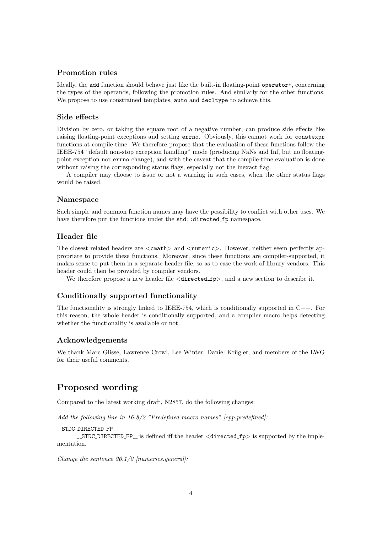#### Promotion rules

Ideally, the add function should behave just like the built-in floating-point operator+, concerning the types of the operands, following the promotion rules. And similarly for the other functions. We propose to use constrained templates, auto and decltype to achieve this.

#### Side effects

Division by zero, or taking the square root of a negative number, can produce side effects like raising floating-point exceptions and setting errno. Obviously, this cannot work for constexpr functions at compile-time. We therefore propose that the evaluation of these functions follow the IEEE-754 "default non-stop exception handling" mode (producing NaNs and Inf, but no floatingpoint exception nor errno change), and with the caveat that the compile-time evaluation is done without raising the corresponding status flags, especially not the inexact flag.

A compiler may choose to issue or not a warning in such cases, when the other status flags would be raised.

#### Namespace

Such simple and common function names may have the possibility to conflict with other uses. We have therefore put the functions under the std::directed fp namespace.

#### Header file

The closest related headers are  $\langle \text{cmath} \rangle$  and  $\langle \text{numeric}\rangle$ . However, neither seem perfectly appropriate to provide these functions. Moreover, since these functions are compiler-supported, it makes sense to put them in a separate header file, so as to ease the work of library vendors. This header could then be provided by compiler vendors.

We therefore propose a new header file  $\langle$  directed  $fp$ , and a new section to describe it.

#### Conditionally supported functionality

The functionality is strongly linked to IEEE-754, which is conditionally supported in  $C_{++}$ . For this reason, the whole header is conditionally supported, and a compiler macro helps detecting whether the functionality is available or not.

#### Acknowledgements

We thank Marc Glisse, Lawrence Crowl, Lee Winter, Daniel Krügler, and members of the LWG for their useful comments.

# Proposed wording

Compared to the latest working draft, N2857, do the following changes:

Add the following line in  $16.8/2$  "Predefined macro names" [cpp.predefined]:

#### \_STDC\_DIRECTED\_FP\_

 $\_STDC$  DIRECTED  $FP\_$  is defined iff the header  $\langle$  directed  $fp$  is supported by the implementation.

Change the sentence  $26.1/2$  [numerics.general]: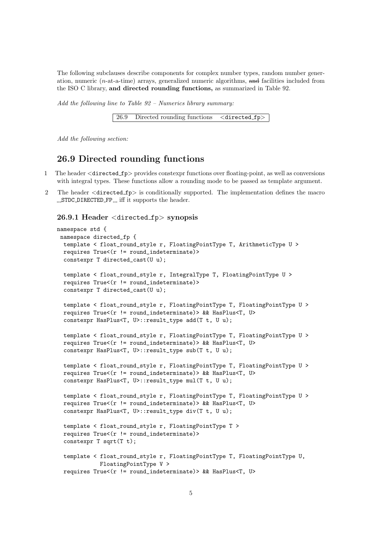The following subclauses describe components for complex number types, random number generation, numeric  $(n$ -at-a-time) arrays, generalized numeric algorithms, and facilities included from the ISO C library, and directed rounding functions, as summarized in Table 92.

Add the following line to Table 92 – Numerics library summary:

26.9 Directed rounding functions <directed fp>

Add the following section:

### 26.9 Directed rounding functions

- 1 The header  $\langle$  directed\_fp> provides constexpr functions over floating-point, as well as conversions with integral types. These functions allow a rounding mode to be passed as template argument.
- 2 The header <directed fp> is conditionally supported. The implementation defines the macro  $\_STDC\_DIRECTED_FP\_$  iff it supports the header.

#### 26.9.1 Header <directed fp> synopsis

```
namespace std {
 namespace directed_fp {
 template < float_round_style r, FloatingPointType T, ArithmeticType U >
 requires True<(r != round_indexerminate)constexpr T directed_cast(U u);
 template < float_round_style r, IntegralType T, FloatingPointType U >
 requires True<(r != round_indexerminate)constexpr T directed_cast(U u);
  template < float_round_style r, FloatingPointType T, FloatingPointType U >
 requires True<(r != round_indeterminate)> && HasPlus<T, U>
  constexpr HasPlus<T, U>::result_type add(T t, U u);
 template < float_round_style r, FloatingPointType T, FloatingPointType U >
 requires True<(r != round_indeterminate)> && HasPlus<T, U>
  constexpr HasPlus<T, U>::result_type sub(T t, U u);
 template < float_round_style r, FloatingPointType T, FloatingPointType U >
  requires True<(r != round indeterminate) && HasPlus<T, U>
  constexpr HasPlus<T, U>::result_type mul(T t, U u);
 template < float_round_style r, FloatingPointType T, FloatingPointType U >
 requires True<(r != round_indeterminate)> && HasPlus<T, U>
  constexpr HasPlus<T, U>::result_type div(T t, U u);
  template < float_round_style r, FloatingPointType T >
 requires True<(r != round_indexerminate)constexpr T sqrt(T t);
  template < float_round_style r, FloatingPointType T, FloatingPointType U,
            FloatingPointType V >
 requires True<(r != round_indeterminate)> && HasPlus<T, U>
```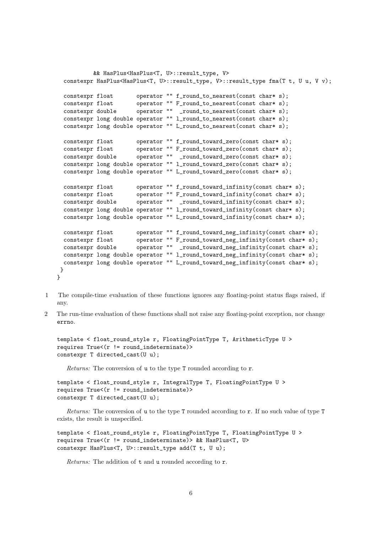```
&& HasPlus<HasPlus<T, U>::result_type, V>
constexpr HasPlus<HasPlus<T, U>::result_type, V>::result_type fma(T t, U u, V v);
constexpr float operator "" f round to nearest(const char* s);
constexpr float operator "" F_round_to_nearest(const char* s);
constexpr double operator "" _round_to_nearest(const char* s);
constexpr long double operator "" l_round_to_nearest(const char* s);
constexpr long double operator "" L_round_to_nearest(const char* s);
constexpr float operator "" f_round_toward_zero(const char* s);
constexpr float operator "" F_round_toward_zero(const char* s);
constexpr double operator "" _round_toward_zero(const char* s);
constexpr long double operator "" l_round_toward_zero(const char* s);
constexpr long double operator "" L_round_toward_zero(const char* s);
constexpr float operator "" f_round_toward_infinity(const char* s);
constexpr float operator "" F_round_toward_infinity(const char* s);
constexpr double operator "" _round_toward_infinity(const char* s);
constexpr long double operator "" l_round_toward_infinity(const char* s);
constexpr long double operator "" L_round_toward_infinity(const char* s);
constexpr float operator "" f_round_toward_neg_infinity(const char* s);
constexpr float operator "" F_round_toward_neg_infinity(const char* s);
constexpr double operator "" _round_toward_neg_infinity(const char* s);
constexpr long double operator "" l_round_toward_neg_infinity(const char* s);
constexpr long double operator "" L_round_toward_neg_infinity(const char* s);
}
```
- 1 The compile-time evaluation of these functions ignores any floating-point status flags raised, if any.
- 2 The run-time evaluation of these functions shall not raise any floating-point exception, nor change errno.

```
template < float_round_style r, FloatingPointType T, ArithmeticType U >
requires True<(r != round_indexerminate)constexpr T directed_cast(U u);
```
Returns: The conversion of **u** to the type **T** rounded according to **r**.

}

```
template < float_round_style r, IntegralType T, FloatingPointType U >
requires True<(r != round_indexerminate)constexpr T directed_cast(U u);
```
Returns: The conversion of u to the type T rounded according to r. If no such value of type T exists, the result is unspecified.

```
template < float_round_style r, FloatingPointType T, FloatingPointType U >
requires True<(r != round_indeterminate)> && HasPlus<T, U>
constexpr HasPlus<T, U>::result_type add(T t, U u);
```
Returns: The addition of **t** and **u** rounded according to **r**.